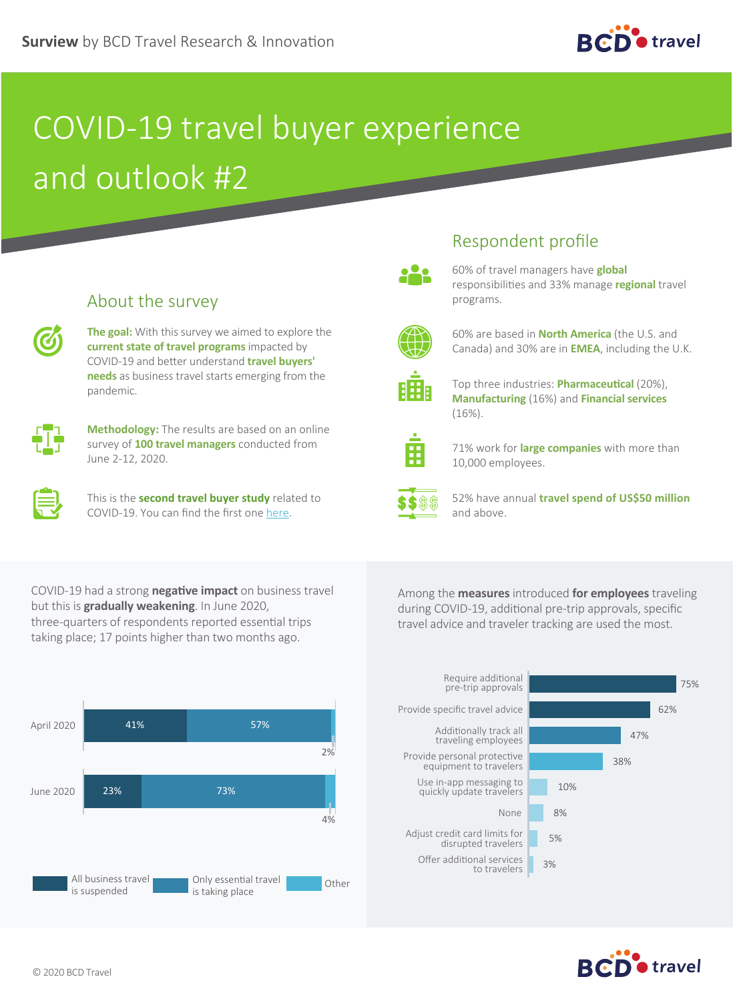

## COVID-19 travel buyer experience and outlook #2

| . .<br>. .<br>œ |
|-----------------|
|                 |
|                 |

About the survey

**The goal:** With this survey we aimed to explore the **current state of travel programs** impacted by COVID-19 and better understand **travel buyers' needs** as business travel starts emerging from the pandemic.



**Methodology:** The results are based on an online survey of **100 travel managers** conducted from June 2-12, 2020.



This is the **second travel buyer study** related to COVID-19. You can find the first one [here.](https://www.bcdtravel.com/surview-infographic-covid-19-travel-buyer-experience-and-outlook/)

## Respondent profile



60% of travel managers have **global**  responsibilities and 33% manage **regional** travel programs.



60% are based in **North America** (the U.S. and Canada) and 30% are in **EMEA**, including the U.K.



Top three industries: **Pharmaceutical** (20%), **Manufacturing** (16%) and **Financial services** (16%).



71% work for **large companies** with more than 10,000 employees.



52% have annual **travel spend of US\$50 million** and above.

COVID-19 had a strong **negative impact** on business travel but this is **gradually weakening**. In June 2020, three-quarters of respondents reported essential trips taking place; 17 points higher than two months ago.

Among the **measures** introduced **for employees** traveling during COVID-19, additional pre-trip approvals, specific travel advice and traveler tracking are used the most.



Require additional pre-trip approvals **75%** Adjust credit card limits for redit card limits for the signal signal signal signal signal signal signal signal signal signal signal signal s<br>disrupted travelers Offer additional services nal services<br>to travelers 3% Provide specific travel advice **62%** and the specific travel advice Additionally track all Additionally track all **Additional Properties 17%** Provide personal protective de personal protective<br>equipment to travelers Use in-app messaging to Use in-app messaging to<br>quickly update travelers 10% None 8%

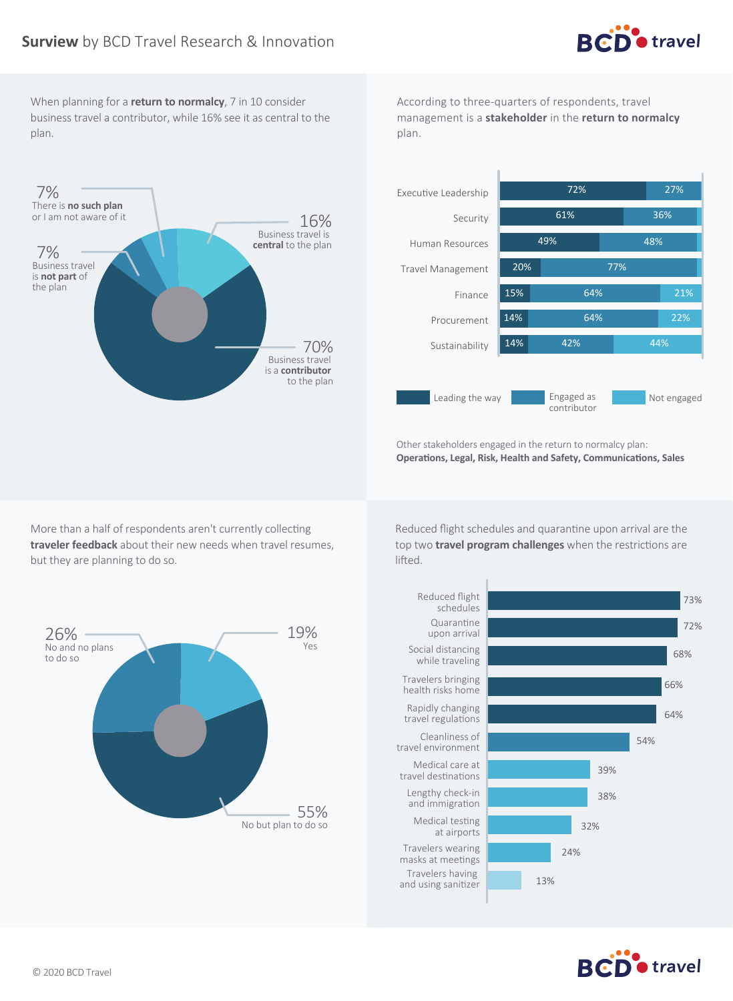

When planning for a **return to normalcy**, 7 in 10 consider business travel a contributor, while 16% see it as central to the plan.

According to three-quarters of respondents, travel management is a **stakeholder** in the **return to normalcy** plan.





Other stakeholders engaged in the return to normalcy plan: **Operations, Legal, Risk, Health and Safety, Communications, Sales**

More than a half of respondents aren't currently collecting **traveler feedback** about their new needs when travel resumes, but they are planning to do so.

Reduced flight schedules and quarantine upon arrival are the top two **travel program challenges** when the restrictions are lifted.





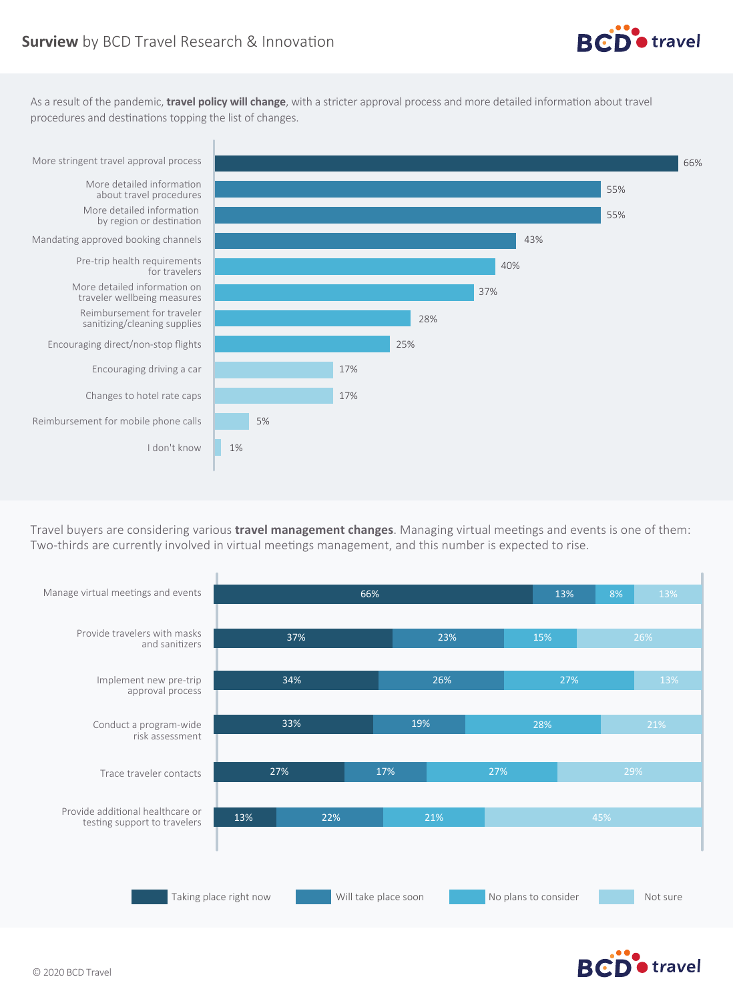

As a result of the pandemic, **travel policy will change**, with a stricter approval process and more detailed information about travel procedures and destinations topping the list of changes.



Travel buyers are considering various **travel management changes**. Managing virtual meetings and events is one of them: Two-thirds are currently involved in virtual meetings management, and this number is expected to rise.



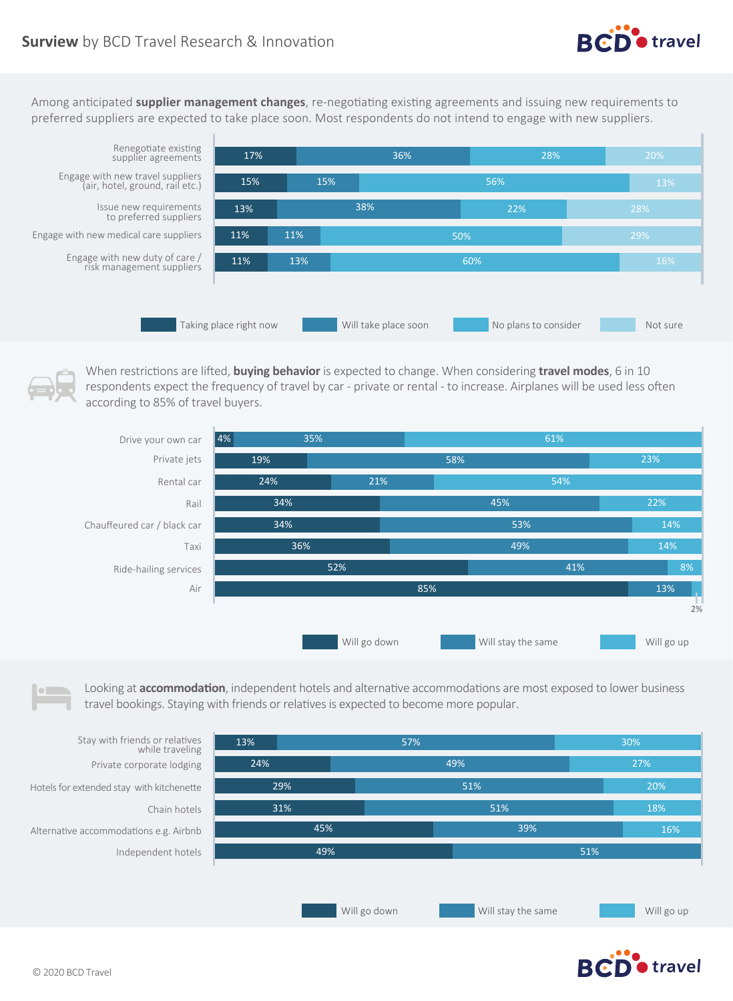

Among anticipated **supplier management changes**, re-negotiating existing agreements and issuing new requirements to preferred suppliers are expected to take place soon. Most respondents do not intend to engage with new suppliers.



Renegotiate existing supplier agreements Engage with new travel suppliers

Issue new requirements to preferred suppliers

Engage with new medical care suppliers

Engage with new duty of care / risk management suppliers

When restrictions are lifted, **buying behavior** is expected to change. When considering **travel modes**, 6 in 10 respondents expect the frequency of travel by car - private or rental - to increase. Airplanes will be used less often according to 85% of travel buyers.



Looking at **accommodation**, independent hotels and alternative accommodations are most exposed to lower business travel bookings. Staying with friends or relatives is expected to become more popular.



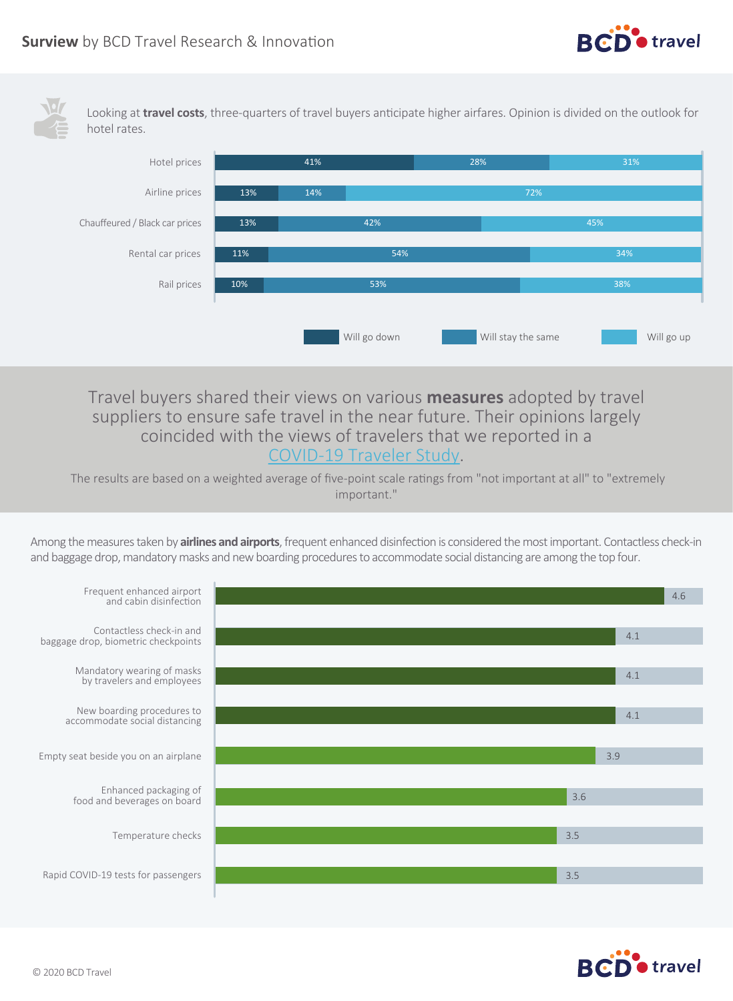

Looking at **travel costs**, three-quarters of travel buyers anticipate higher airfares. Opinion is divided on the outlook for hotel rates.



Travel buyers shared their views on various **measures** adopted by travel suppliers to ensure safe travel in the near future. Their opinions largely coincided with the views of travelers that we reported in a [COVID-19 Traveler Study.](https://www.bcdtravel.com/surview-infographic-covid-19-traveler-study/)

 The results are based on a weighted average of five-point scale ratings from "not important at all" to "extremely important."

Among the measures taken by **airlines and airports**, frequent enhanced disinfection is considered the most important. Contactless check-in and baggage drop, mandatory masks and new boarding procedures to accommodate social distancing are among the top four.



**RCD** travel